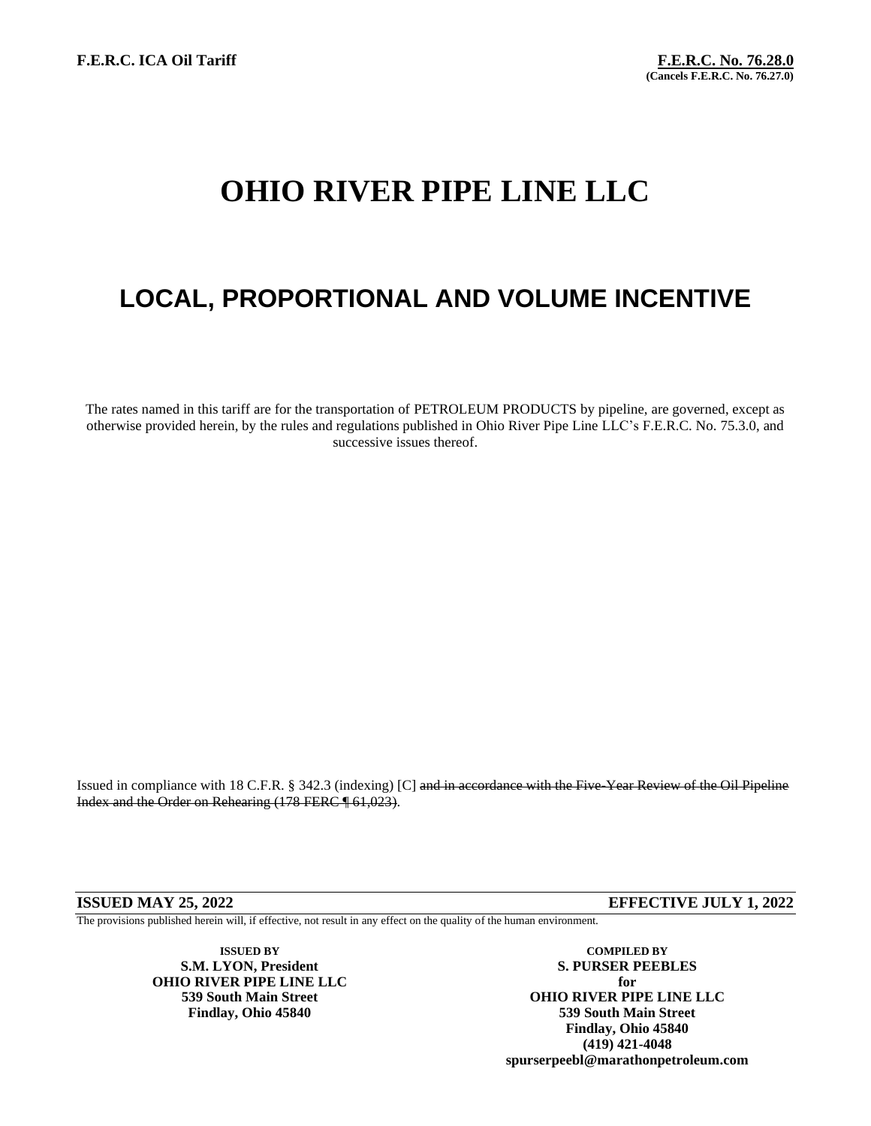# **OHIO RIVER PIPE LINE LLC**

# **LOCAL, PROPORTIONAL AND VOLUME INCENTIVE**

The rates named in this tariff are for the transportation of PETROLEUM PRODUCTS by pipeline, are governed, except as otherwise provided herein, by the rules and regulations published in Ohio River Pipe Line LLC's F.E.R.C. No. 75.3.0, and successive issues thereof.

Issued in compliance with 18 C.F.R. § 342.3 (indexing) [C] and in accordance with the Five-Year Review of the Oil Pipeline Index and the Order on Rehearing (178 FERC ¶ 61,023).

**ISSUED MAY 25, 2022 EFFECTIVE JULY 1, 2022**

The provisions published herein will, if effective, not result in any effect on the quality of the human environment.

**ISSUED BY COMPILED BY OHIO RIVER PIPE LINE LLC for**

**S.M. LYON, President S. PURSER PEEBLES 539 South Main Street OHIO RIVER PIPE LINE LLC Findlay, Ohio 45840 539 South Main Street Findlay, Ohio 45840 (419) 421-4048 spurserpeebl@marathonpetroleum.com**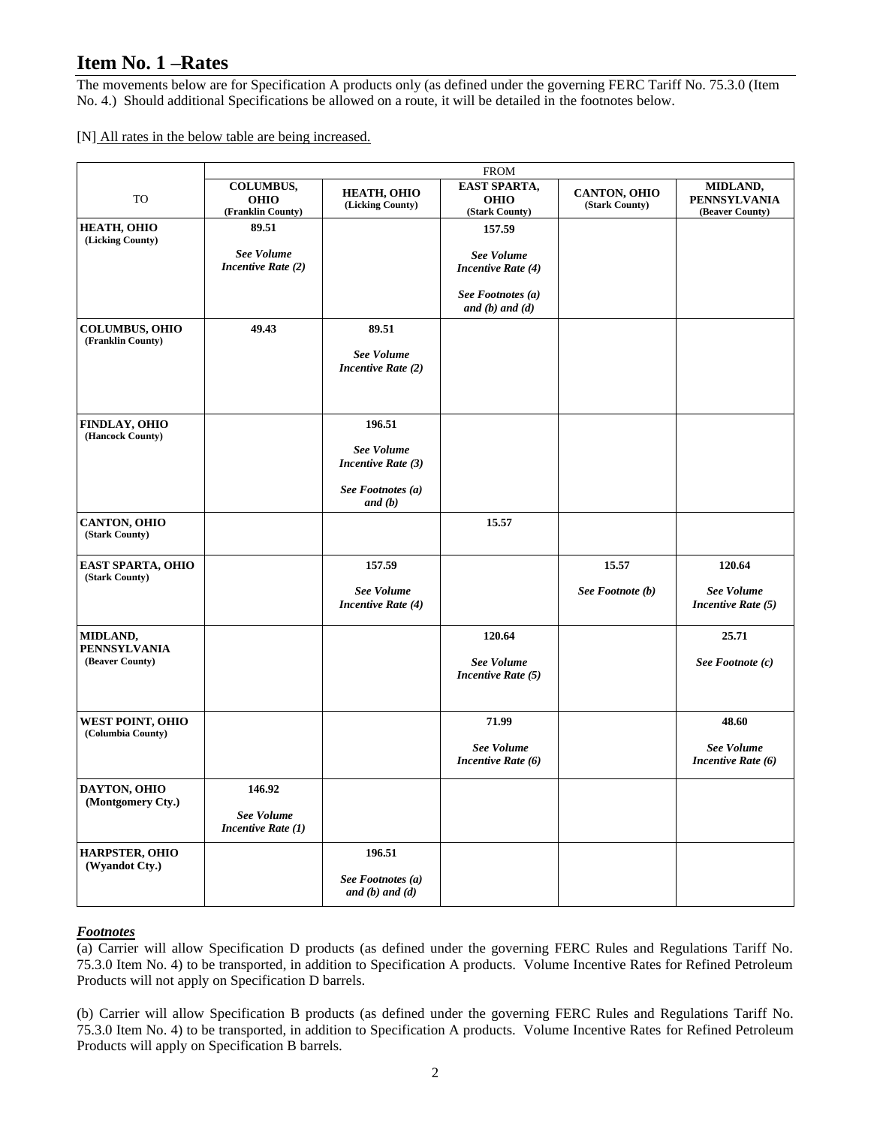## **Item No. 1 –Rates**

The movements below are for Specification A products only (as defined under the governing FERC Tariff No. 75.3.0 (Item No. 4.) Should additional Specifications be allowed on a route, it will be detailed in the footnotes below.

[N] All rates in the below table are being increased.

|                                                    | <b>FROM</b>                                              |                                                    |                                                      |                                       |                                                    |
|----------------------------------------------------|----------------------------------------------------------|----------------------------------------------------|------------------------------------------------------|---------------------------------------|----------------------------------------------------|
| TO                                                 | <b>COLUMBUS,</b><br><b>OHIO</b><br>(Franklin County)     | HEATH, OHIO<br>(Licking County)                    | <b>EAST SPARTA,</b><br><b>OHIO</b><br>(Stark County) | <b>CANTON, OHIO</b><br>(Stark County) | MIDLAND,<br><b>PENNSYLVANIA</b><br>(Beaver County) |
| HEATH, OHIO<br>(Licking County)                    | 89.51                                                    |                                                    | 157.59                                               |                                       |                                                    |
|                                                    | See Volume<br><b>Incentive Rate (2)</b>                  |                                                    | <b>See Volume</b><br><b>Incentive Rate (4)</b>       |                                       |                                                    |
|                                                    |                                                          |                                                    | See Footnotes (a)<br>and $(b)$ and $(d)$             |                                       |                                                    |
| <b>COLUMBUS, OHIO</b><br>(Franklin County)         | 49.43                                                    | 89.51<br>See Volume<br><b>Incentive Rate (2)</b>   |                                                      |                                       |                                                    |
| <b>FINDLAY, OHIO</b><br>(Hancock County)           |                                                          | 196.51<br>See Volume<br>Incentive Rate (3)         |                                                      |                                       |                                                    |
|                                                    |                                                          | See Footnotes (a)<br>and (b)                       |                                                      |                                       |                                                    |
| <b>CANTON, OHIO</b><br>(Stark County)              |                                                          |                                                    | 15.57                                                |                                       |                                                    |
| <b>EAST SPARTA, OHIO</b><br>(Stark County)         |                                                          | 157.59                                             |                                                      | 15.57                                 | 120.64                                             |
|                                                    |                                                          | <b>See Volume</b><br><b>Incentive Rate (4)</b>     |                                                      | See Footnote (b)                      | See Volume<br>Incentive Rate $(5)$                 |
| MIDLAND,<br><b>PENNSYLVANIA</b><br>(Beaver County) |                                                          |                                                    | 120.64<br>See Volume<br>Incentive Rate (5)           |                                       | 25.71<br>See Footnote (c)                          |
| <b>WEST POINT, OHIO</b><br>(Columbia County)       |                                                          |                                                    | 71.99                                                |                                       | 48.60                                              |
|                                                    |                                                          |                                                    | <b>See Volume</b><br>Incentive Rate (6)              |                                       | See Volume<br>Incentive Rate (6)                   |
| DAYTON, OHIO<br>(Montgomery Cty.)                  | 146.92<br><b>See Volume</b><br><b>Incentive Rate (1)</b> |                                                    |                                                      |                                       |                                                    |
| HARPSTER, OHIO<br>(Wyandot Cty.)                   |                                                          | 196.51<br>See Footnotes (a)<br>and $(b)$ and $(d)$ |                                                      |                                       |                                                    |

#### *Footnotes*

(a) Carrier will allow Specification D products (as defined under the governing FERC Rules and Regulations Tariff No. 75.3.0 Item No. 4) to be transported, in addition to Specification A products. Volume Incentive Rates for Refined Petroleum Products will not apply on Specification D barrels.

(b) Carrier will allow Specification B products (as defined under the governing FERC Rules and Regulations Tariff No. 75.3.0 Item No. 4) to be transported, in addition to Specification A products. Volume Incentive Rates for Refined Petroleum Products will apply on Specification B barrels.